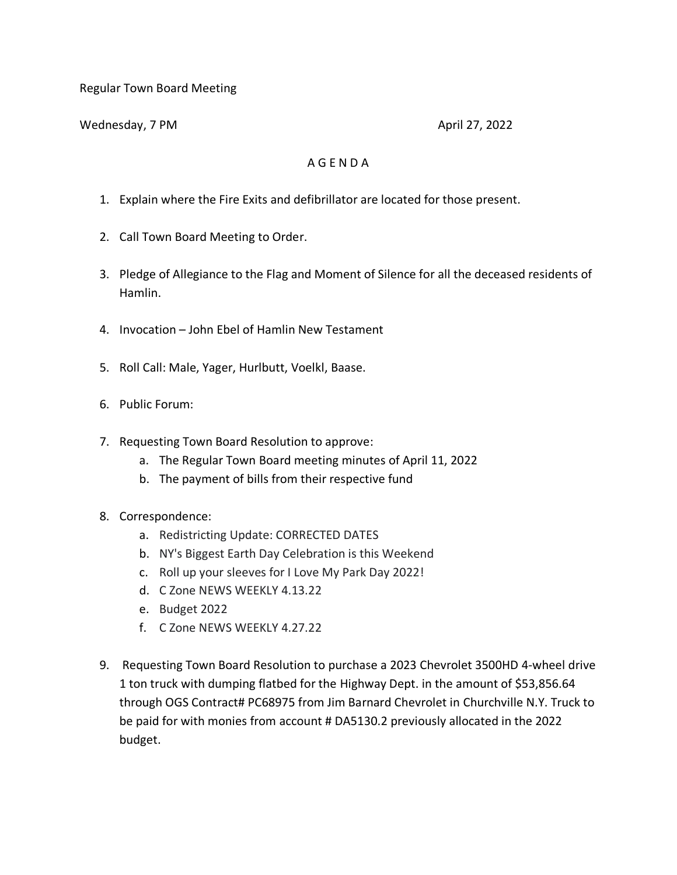Regular Town Board Meeting

Wednesday, 7 PM April 27, 2022

## A G E N D A

- 1. Explain where the Fire Exits and defibrillator are located for those present.
- 2. Call Town Board Meeting to Order.
- 3. Pledge of Allegiance to the Flag and Moment of Silence for all the deceased residents of Hamlin.
- 4. Invocation John Ebel of Hamlin New Testament
- 5. Roll Call: Male, Yager, Hurlbutt, Voelkl, Baase.
- 6. Public Forum:
- 7. Requesting Town Board Resolution to approve:
	- a. The Regular Town Board meeting minutes of April 11, 2022
	- b. The payment of bills from their respective fund
- 8. Correspondence:
	- a. Redistricting Update: CORRECTED DATES
	- b. NY's Biggest Earth Day Celebration is this Weekend
	- c. Roll up your sleeves for I Love My Park Day 2022!
	- d. C Zone NEWS WEEKLY 4.13.22
	- e. Budget 2022
	- f. C Zone NEWS WEEKLY 4.27.22
- 9. Requesting Town Board Resolution to purchase a 2023 Chevrolet 3500HD 4-wheel drive 1 ton truck with dumping flatbed for the Highway Dept. in the amount of \$53,856.64 through OGS Contract# PC68975 from Jim Barnard Chevrolet in Churchville N.Y. Truck to be paid for with monies from account # DA5130.2 previously allocated in the 2022 budget.